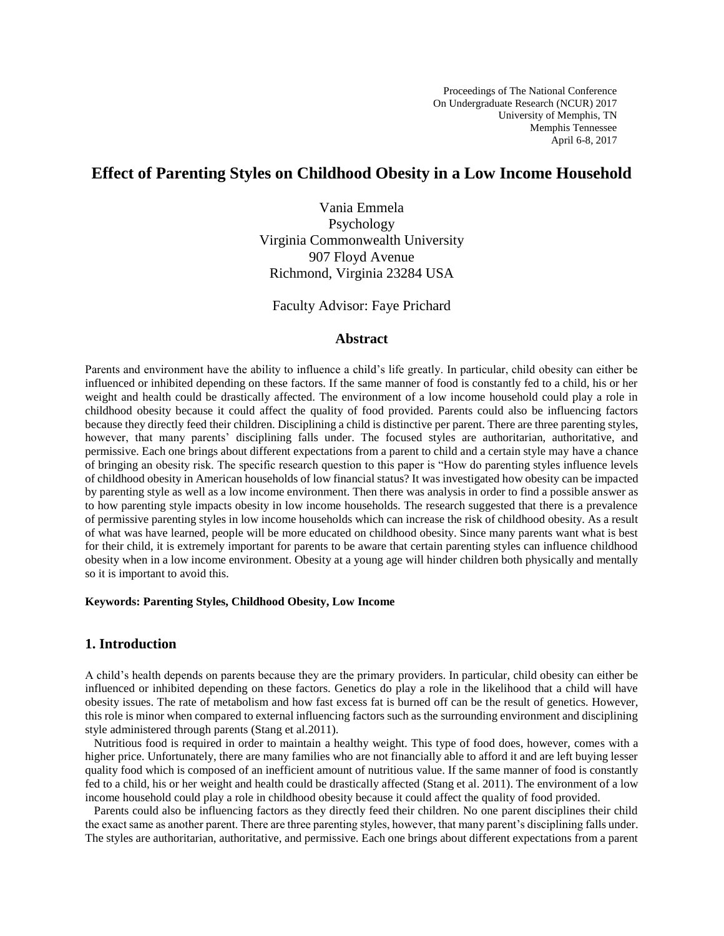# **Effect of Parenting Styles on Childhood Obesity in a Low Income Household**

Vania Emmela Psychology Virginia Commonwealth University 907 Floyd Avenue Richmond, Virginia 23284 USA

Faculty Advisor: Faye Prichard

## **Abstract**

Parents and environment have the ability to influence a child's life greatly. In particular, child obesity can either be influenced or inhibited depending on these factors. If the same manner of food is constantly fed to a child, his or her weight and health could be drastically affected. The environment of a low income household could play a role in childhood obesity because it could affect the quality of food provided. Parents could also be influencing factors because they directly feed their children. Disciplining a child is distinctive per parent. There are three parenting styles, however, that many parents' disciplining falls under. The focused styles are authoritarian, authoritative, and permissive. Each one brings about different expectations from a parent to child and a certain style may have a chance of bringing an obesity risk. The specific research question to this paper is "How do parenting styles influence levels of childhood obesity in American households of low financial status? It was investigated how obesity can be impacted by parenting style as well as a low income environment. Then there was analysis in order to find a possible answer as to how parenting style impacts obesity in low income households. The research suggested that there is a prevalence of permissive parenting styles in low income households which can increase the risk of childhood obesity. As a result of what was have learned, people will be more educated on childhood obesity. Since many parents want what is best for their child, it is extremely important for parents to be aware that certain parenting styles can influence childhood obesity when in a low income environment. Obesity at a young age will hinder children both physically and mentally so it is important to avoid this.

#### **Keywords: Parenting Styles, Childhood Obesity, Low Income**

## **1. Introduction**

A child's health depends on parents because they are the primary providers. In particular, child obesity can either be influenced or inhibited depending on these factors. Genetics do play a role in the likelihood that a child will have obesity issues. The rate of metabolism and how fast excess fat is burned off can be the result of genetics. However, this role is minor when compared to external influencing factors such as the surrounding environment and disciplining style administered through parents (Stang et al.2011).

 Nutritious food is required in order to maintain a healthy weight. This type of food does, however, comes with a higher price. Unfortunately, there are many families who are not financially able to afford it and are left buying lesser quality food which is composed of an inefficient amount of nutritious value. If the same manner of food is constantly fed to a child, his or her weight and health could be drastically affected (Stang et al. 2011). The environment of a low income household could play a role in childhood obesity because it could affect the quality of food provided.

 Parents could also be influencing factors as they directly feed their children. No one parent disciplines their child the exact same as another parent. There are three parenting styles, however, that many parent's disciplining falls under. The styles are authoritarian, authoritative, and permissive. Each one brings about different expectations from a parent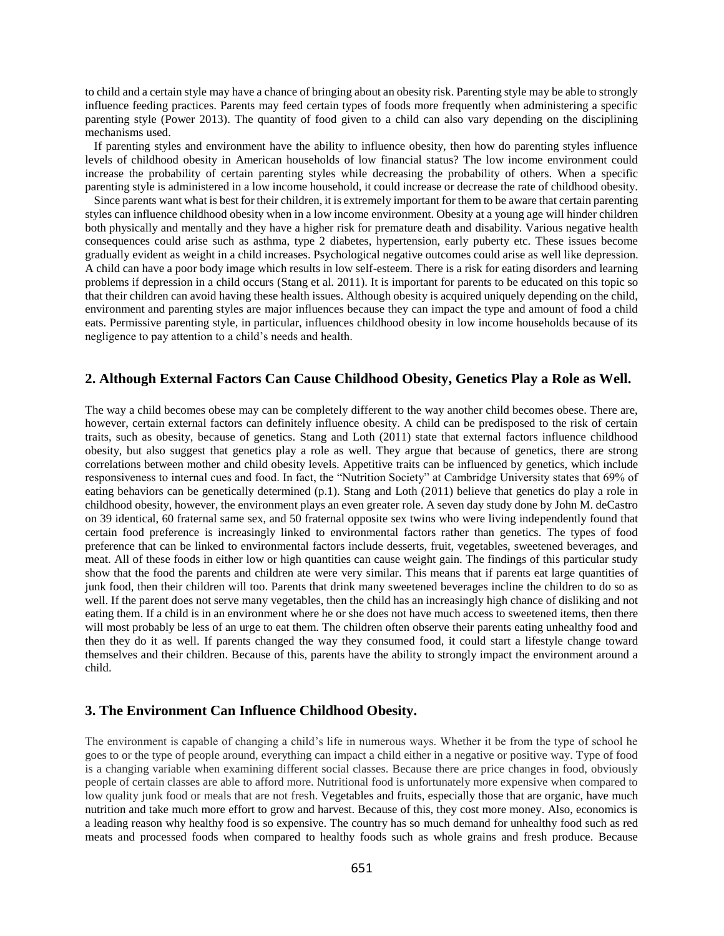to child and a certain style may have a chance of bringing about an obesity risk. Parenting style may be able to strongly influence feeding practices. Parents may feed certain types of foods more frequently when administering a specific parenting style (Power 2013). The quantity of food given to a child can also vary depending on the disciplining mechanisms used.

 If parenting styles and environment have the ability to influence obesity, then how do parenting styles influence levels of childhood obesity in American households of low financial status? The low income environment could increase the probability of certain parenting styles while decreasing the probability of others. When a specific parenting style is administered in a low income household, it could increase or decrease the rate of childhood obesity.

 Since parents want what is best for their children, it is extremely important for them to be aware that certain parenting styles can influence childhood obesity when in a low income environment. Obesity at a young age will hinder children both physically and mentally and they have a higher risk for premature death and disability. Various negative health consequences could arise such as asthma, type 2 diabetes, hypertension, early puberty etc. These issues become gradually evident as weight in a child increases. Psychological negative outcomes could arise as well like depression. A child can have a poor body image which results in low self-esteem. There is a risk for eating disorders and learning problems if depression in a child occurs (Stang et al. 2011). It is important for parents to be educated on this topic so that their children can avoid having these health issues. Although obesity is acquired uniquely depending on the child, environment and parenting styles are major influences because they can impact the type and amount of food a child eats. Permissive parenting style, in particular, influences childhood obesity in low income households because of its negligence to pay attention to a child's needs and health.

## **2. Although External Factors Can Cause Childhood Obesity, Genetics Play a Role as Well.**

The way a child becomes obese may can be completely different to the way another child becomes obese. There are, however, certain external factors can definitely influence obesity. A child can be predisposed to the risk of certain traits, such as obesity, because of genetics. Stang and Loth (2011) state that external factors influence childhood obesity, but also suggest that genetics play a role as well. They argue that because of genetics, there are strong correlations between mother and child obesity levels. Appetitive traits can be influenced by genetics, which include responsiveness to internal cues and food. In fact, the "Nutrition Society" at Cambridge University states that 69% of eating behaviors can be genetically determined (p.1). Stang and Loth (2011) believe that genetics do play a role in childhood obesity, however, the environment plays an even greater role. A seven day study done by John M. deCastro on 39 identical, 60 fraternal same sex, and 50 fraternal opposite sex twins who were living independently found that certain food preference is increasingly linked to environmental factors rather than genetics. The types of food preference that can be linked to environmental factors include desserts, fruit, vegetables, sweetened beverages, and meat. All of these foods in either low or high quantities can cause weight gain. The findings of this particular study show that the food the parents and children ate were very similar. This means that if parents eat large quantities of junk food, then their children will too. Parents that drink many sweetened beverages incline the children to do so as well. If the parent does not serve many vegetables, then the child has an increasingly high chance of disliking and not eating them. If a child is in an environment where he or she does not have much access to sweetened items, then there will most probably be less of an urge to eat them. The children often observe their parents eating unhealthy food and then they do it as well. If parents changed the way they consumed food, it could start a lifestyle change toward themselves and their children. Because of this, parents have the ability to strongly impact the environment around a child.

#### **3. The Environment Can Influence Childhood Obesity.**

The environment is capable of changing a child's life in numerous ways. Whether it be from the type of school he goes to or the type of people around, everything can impact a child either in a negative or positive way. Type of food is a changing variable when examining different social classes. Because there are price changes in food, obviously people of certain classes are able to afford more. Nutritional food is unfortunately more expensive when compared to low quality junk food or meals that are not fresh. Vegetables and fruits, especially those that are organic, have much nutrition and take much more effort to grow and harvest. Because of this, they cost more money. Also, economics is a leading reason why healthy food is so expensive. The country has so much demand for unhealthy food such as red meats and processed foods when compared to healthy foods such as whole grains and fresh produce. Because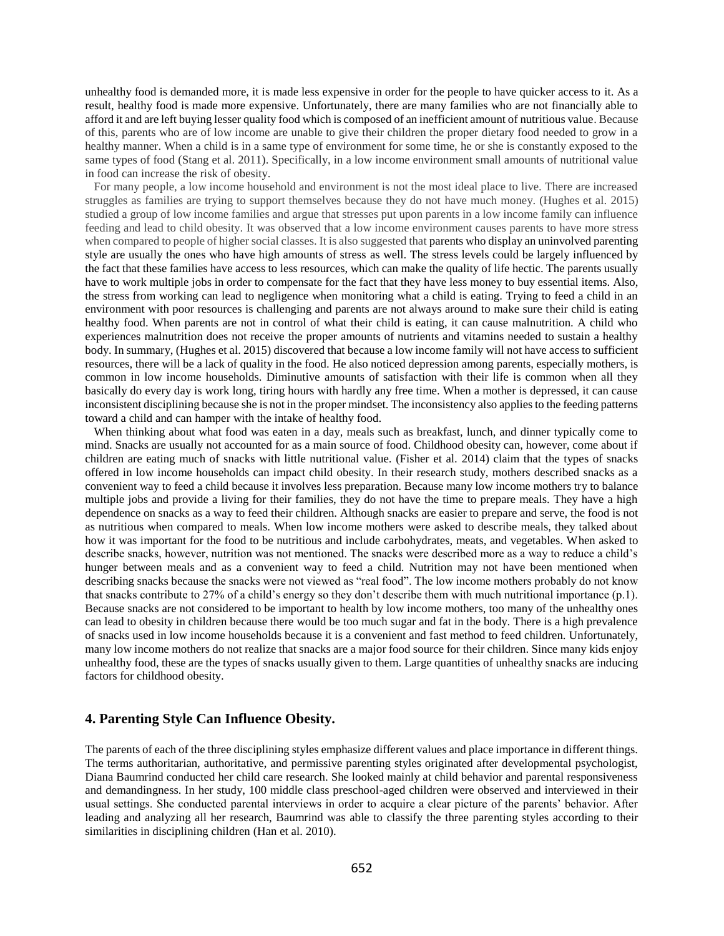unhealthy food is demanded more, it is made less expensive in order for the people to have quicker access to it. As a result, healthy food is made more expensive. Unfortunately, there are many families who are not financially able to afford it and are left buying lesser quality food which is composed of an inefficient amount of nutritious value. Because of this, parents who are of low income are unable to give their children the proper dietary food needed to grow in a healthy manner. When a child is in a same type of environment for some time, he or she is constantly exposed to the same types of food (Stang et al. 2011). Specifically, in a low income environment small amounts of nutritional value in food can increase the risk of obesity.

 For many people, a low income household and environment is not the most ideal place to live. There are increased struggles as families are trying to support themselves because they do not have much money. (Hughes et al. 2015) studied a group of low income families and argue that stresses put upon parents in a low income family can influence feeding and lead to child obesity. It was observed that a low income environment causes parents to have more stress when compared to people of higher social classes. It is also suggested that parents who display an uninvolved parenting style are usually the ones who have high amounts of stress as well. The stress levels could be largely influenced by the fact that these families have access to less resources, which can make the quality of life hectic. The parents usually have to work multiple jobs in order to compensate for the fact that they have less money to buy essential items. Also, the stress from working can lead to negligence when monitoring what a child is eating. Trying to feed a child in an environment with poor resources is challenging and parents are not always around to make sure their child is eating healthy food. When parents are not in control of what their child is eating, it can cause malnutrition. A child who experiences malnutrition does not receive the proper amounts of nutrients and vitamins needed to sustain a healthy body. In summary, (Hughes et al. 2015) discovered that because a low income family will not have access to sufficient resources, there will be a lack of quality in the food. He also noticed depression among parents, especially mothers, is common in low income households. Diminutive amounts of satisfaction with their life is common when all they basically do every day is work long, tiring hours with hardly any free time. When a mother is depressed, it can cause inconsistent disciplining because she is not in the proper mindset. The inconsistency also applies to the feeding patterns toward a child and can hamper with the intake of healthy food.

When thinking about what food was eaten in a day, meals such as breakfast, lunch, and dinner typically come to mind. Snacks are usually not accounted for as a main source of food. Childhood obesity can, however, come about if children are eating much of snacks with little nutritional value. (Fisher et al. 2014) claim that the types of snacks offered in low income households can impact child obesity. In their research study, mothers described snacks as a convenient way to feed a child because it involves less preparation. Because many low income mothers try to balance multiple jobs and provide a living for their families, they do not have the time to prepare meals. They have a high dependence on snacks as a way to feed their children. Although snacks are easier to prepare and serve, the food is not as nutritious when compared to meals. When low income mothers were asked to describe meals, they talked about how it was important for the food to be nutritious and include carbohydrates, meats, and vegetables. When asked to describe snacks, however, nutrition was not mentioned. The snacks were described more as a way to reduce a child's hunger between meals and as a convenient way to feed a child. Nutrition may not have been mentioned when describing snacks because the snacks were not viewed as "real food". The low income mothers probably do not know that snacks contribute to 27% of a child's energy so they don't describe them with much nutritional importance (p.1). Because snacks are not considered to be important to health by low income mothers, too many of the unhealthy ones can lead to obesity in children because there would be too much sugar and fat in the body. There is a high prevalence of snacks used in low income households because it is a convenient and fast method to feed children. Unfortunately, many low income mothers do not realize that snacks are a major food source for their children. Since many kids enjoy unhealthy food, these are the types of snacks usually given to them. Large quantities of unhealthy snacks are inducing factors for childhood obesity.

#### **4. Parenting Style Can Influence Obesity.**

The parents of each of the three disciplining styles emphasize different values and place importance in different things. The terms authoritarian, authoritative, and permissive parenting styles originated after developmental psychologist, Diana Baumrind conducted her child care research. She looked mainly at child behavior and parental responsiveness and demandingness. In her study, 100 middle class preschool-aged children were observed and interviewed in their usual settings. She conducted parental interviews in order to acquire a clear picture of the parents' behavior. After leading and analyzing all her research, Baumrind was able to classify the three parenting styles according to their similarities in disciplining children (Han et al. 2010).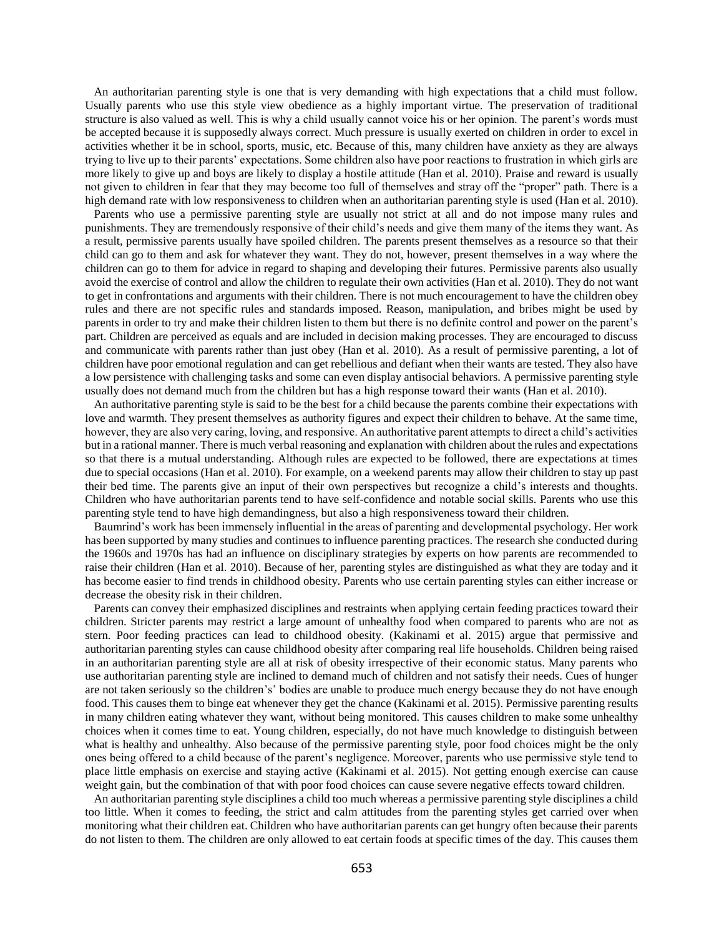An authoritarian parenting style is one that is very demanding with high expectations that a child must follow. Usually parents who use this style view obedience as a highly important virtue. The preservation of traditional structure is also valued as well. This is why a child usually cannot voice his or her opinion. The parent's words must be accepted because it is supposedly always correct. Much pressure is usually exerted on children in order to excel in activities whether it be in school, sports, music, etc. Because of this, many children have anxiety as they are always trying to live up to their parents' expectations. Some children also have poor reactions to frustration in which girls are more likely to give up and boys are likely to display a hostile attitude (Han et al. 2010). Praise and reward is usually not given to children in fear that they may become too full of themselves and stray off the "proper" path. There is a high demand rate with low responsiveness to children when an authoritarian parenting style is used (Han et al. 2010).

 Parents who use a permissive parenting style are usually not strict at all and do not impose many rules and punishments. They are tremendously responsive of their child's needs and give them many of the items they want. As a result, permissive parents usually have spoiled children. The parents present themselves as a resource so that their child can go to them and ask for whatever they want. They do not, however, present themselves in a way where the children can go to them for advice in regard to shaping and developing their futures. Permissive parents also usually avoid the exercise of control and allow the children to regulate their own activities (Han et al. 2010). They do not want to get in confrontations and arguments with their children. There is not much encouragement to have the children obey rules and there are not specific rules and standards imposed. Reason, manipulation, and bribes might be used by parents in order to try and make their children listen to them but there is no definite control and power on the parent's part. Children are perceived as equals and are included in decision making processes. They are encouraged to discuss and communicate with parents rather than just obey (Han et al. 2010). As a result of permissive parenting, a lot of children have poor emotional regulation and can get rebellious and defiant when their wants are tested. They also have a low persistence with challenging tasks and some can even display antisocial behaviors. A permissive parenting style usually does not demand much from the children but has a high response toward their wants (Han et al. 2010).

 An authoritative parenting style is said to be the best for a child because the parents combine their expectations with love and warmth. They present themselves as authority figures and expect their children to behave. At the same time, however, they are also very caring, loving, and responsive. An authoritative parent attempts to direct a child's activities but in a rational manner. There is much verbal reasoning and explanation with children about the rules and expectations so that there is a mutual understanding. Although rules are expected to be followed, there are expectations at times due to special occasions (Han et al. 2010). For example, on a weekend parents may allow their children to stay up past their bed time. The parents give an input of their own perspectives but recognize a child's interests and thoughts. Children who have authoritarian parents tend to have self-confidence and notable social skills. Parents who use this parenting style tend to have high demandingness, but also a high responsiveness toward their children.

 Baumrind's work has been immensely influential in the areas of parenting and developmental psychology. Her work has been supported by many studies and continues to influence parenting practices. The research she conducted during the 1960s and 1970s has had an influence on disciplinary strategies by experts on how parents are recommended to raise their children (Han et al. 2010). Because of her, parenting styles are distinguished as what they are today and it has become easier to find trends in childhood obesity. Parents who use certain parenting styles can either increase or decrease the obesity risk in their children.

 Parents can convey their emphasized disciplines and restraints when applying certain feeding practices toward their children. Stricter parents may restrict a large amount of unhealthy food when compared to parents who are not as stern. Poor feeding practices can lead to childhood obesity. (Kakinami et al. 2015) argue that permissive and authoritarian parenting styles can cause childhood obesity after comparing real life households. Children being raised in an authoritarian parenting style are all at risk of obesity irrespective of their economic status. Many parents who use authoritarian parenting style are inclined to demand much of children and not satisfy their needs. Cues of hunger are not taken seriously so the children's' bodies are unable to produce much energy because they do not have enough food. This causes them to binge eat whenever they get the chance (Kakinami et al. 2015). Permissive parenting results in many children eating whatever they want, without being monitored. This causes children to make some unhealthy choices when it comes time to eat. Young children, especially, do not have much knowledge to distinguish between what is healthy and unhealthy. Also because of the permissive parenting style, poor food choices might be the only ones being offered to a child because of the parent's negligence. Moreover, parents who use permissive style tend to place little emphasis on exercise and staying active (Kakinami et al. 2015). Not getting enough exercise can cause weight gain, but the combination of that with poor food choices can cause severe negative effects toward children.

 An authoritarian parenting style disciplines a child too much whereas a permissive parenting style disciplines a child too little. When it comes to feeding, the strict and calm attitudes from the parenting styles get carried over when monitoring what their children eat. Children who have authoritarian parents can get hungry often because their parents do not listen to them. The children are only allowed to eat certain foods at specific times of the day. This causes them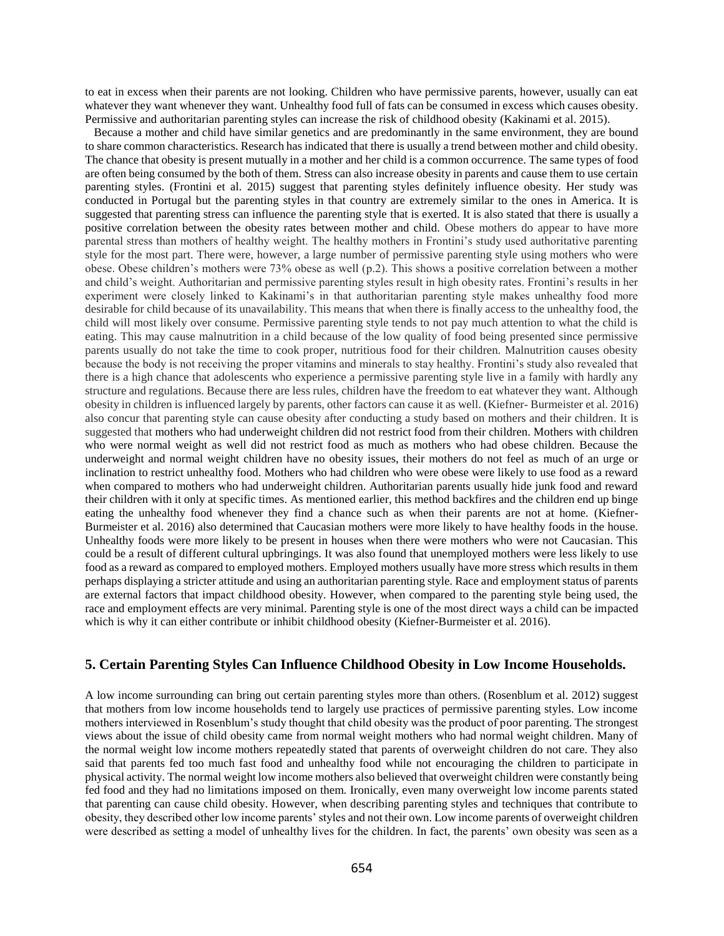to eat in excess when their parents are not looking. Children who have permissive parents, however, usually can eat whatever they want whenever they want. Unhealthy food full of fats can be consumed in excess which causes obesity. Permissive and authoritarian parenting styles can increase the risk of childhood obesity (Kakinami et al. 2015).

 Because a mother and child have similar genetics and are predominantly in the same environment, they are bound to share common characteristics. Research has indicated that there is usually a trend between mother and child obesity. The chance that obesity is present mutually in a mother and her child is a common occurrence. The same types of food are often being consumed by the both of them. Stress can also increase obesity in parents and cause them to use certain parenting styles. (Frontini et al. 2015) suggest that parenting styles definitely influence obesity. Her study was conducted in Portugal but the parenting styles in that country are extremely similar to the ones in America. It is suggested that parenting stress can influence the parenting style that is exerted. It is also stated that there is usually a positive correlation between the obesity rates between mother and child. Obese mothers do appear to have more parental stress than mothers of healthy weight. The healthy mothers in Frontini's study used authoritative parenting style for the most part. There were, however, a large number of permissive parenting style using mothers who were obese. Obese children's mothers were 73% obese as well (p.2). This shows a positive correlation between a mother and child's weight. Authoritarian and permissive parenting styles result in high obesity rates. Frontini's results in her experiment were closely linked to Kakinami's in that authoritarian parenting style makes unhealthy food more desirable for child because of its unavailability. This means that when there is finally access to the unhealthy food, the child will most likely over consume. Permissive parenting style tends to not pay much attention to what the child is eating. This may cause malnutrition in a child because of the low quality of food being presented since permissive parents usually do not take the time to cook proper, nutritious food for their children. Malnutrition causes obesity because the body is not receiving the proper vitamins and minerals to stay healthy. Frontini's study also revealed that there is a high chance that adolescents who experience a permissive parenting style live in a family with hardly any structure and regulations. Because there are less rules, children have the freedom to eat whatever they want. Although obesity in children is influenced largely by parents, other factors can cause it as well. (Kiefner- Burmeister et al. 2016) also concur that parenting style can cause obesity after conducting a study based on mothers and their children. It is suggested that mothers who had underweight children did not restrict food from their children. Mothers with children who were normal weight as well did not restrict food as much as mothers who had obese children. Because the underweight and normal weight children have no obesity issues, their mothers do not feel as much of an urge or inclination to restrict unhealthy food. Mothers who had children who were obese were likely to use food as a reward when compared to mothers who had underweight children. Authoritarian parents usually hide junk food and reward their children with it only at specific times. As mentioned earlier, this method backfires and the children end up binge eating the unhealthy food whenever they find a chance such as when their parents are not at home. (Kiefner-Burmeister et al. 2016) also determined that Caucasian mothers were more likely to have healthy foods in the house. Unhealthy foods were more likely to be present in houses when there were mothers who were not Caucasian. This could be a result of different cultural upbringings. It was also found that unemployed mothers were less likely to use food as a reward as compared to employed mothers. Employed mothers usually have more stress which results in them perhaps displaying a stricter attitude and using an authoritarian parenting style. Race and employment status of parents are external factors that impact childhood obesity. However, when compared to the parenting style being used, the race and employment effects are very minimal. Parenting style is one of the most direct ways a child can be impacted which is why it can either contribute or inhibit childhood obesity (Kiefner-Burmeister et al. 2016).

### **5. Certain Parenting Styles Can Influence Childhood Obesity in Low Income Households.**

A low income surrounding can bring out certain parenting styles more than others. (Rosenblum et al. 2012) suggest that mothers from low income households tend to largely use practices of permissive parenting styles. Low income mothers interviewed in Rosenblum's study thought that child obesity was the product of poor parenting. The strongest views about the issue of child obesity came from normal weight mothers who had normal weight children. Many of the normal weight low income mothers repeatedly stated that parents of overweight children do not care. They also said that parents fed too much fast food and unhealthy food while not encouraging the children to participate in physical activity. The normal weight low income mothers also believed that overweight children were constantly being fed food and they had no limitations imposed on them. Ironically, even many overweight low income parents stated that parenting can cause child obesity. However, when describing parenting styles and techniques that contribute to obesity, they described other low income parents' styles and not their own. Low income parents of overweight children were described as setting a model of unhealthy lives for the children. In fact, the parents' own obesity was seen as a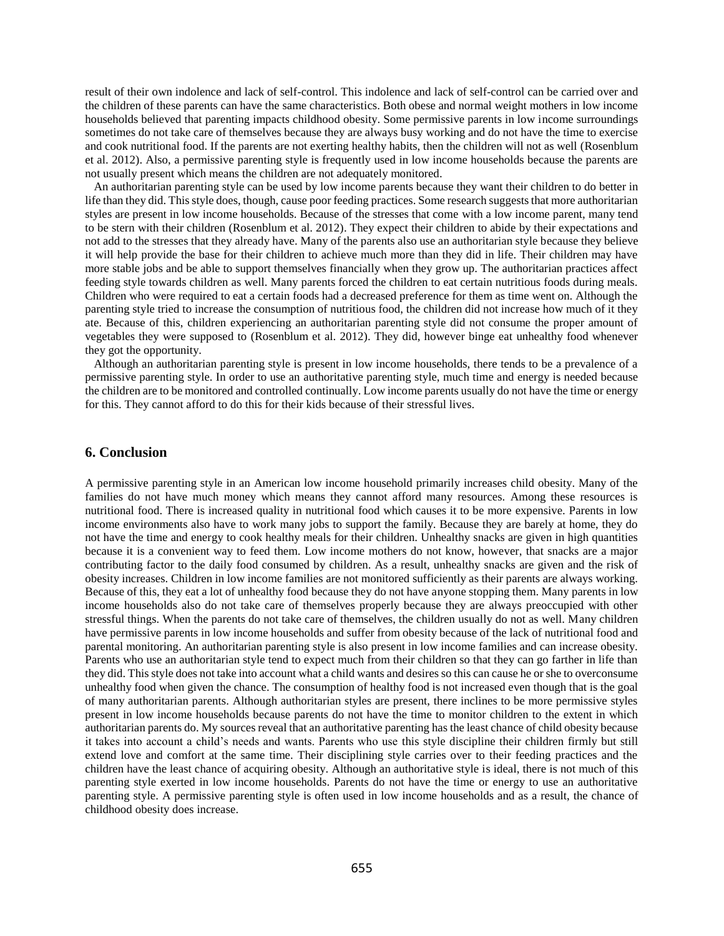result of their own indolence and lack of self-control. This indolence and lack of self-control can be carried over and the children of these parents can have the same characteristics. Both obese and normal weight mothers in low income households believed that parenting impacts childhood obesity. Some permissive parents in low income surroundings sometimes do not take care of themselves because they are always busy working and do not have the time to exercise and cook nutritional food. If the parents are not exerting healthy habits, then the children will not as well (Rosenblum et al. 2012). Also, a permissive parenting style is frequently used in low income households because the parents are not usually present which means the children are not adequately monitored.

 An authoritarian parenting style can be used by low income parents because they want their children to do better in life than they did. This style does, though, cause poor feeding practices. Some research suggests that more authoritarian styles are present in low income households. Because of the stresses that come with a low income parent, many tend to be stern with their children (Rosenblum et al. 2012). They expect their children to abide by their expectations and not add to the stresses that they already have. Many of the parents also use an authoritarian style because they believe it will help provide the base for their children to achieve much more than they did in life. Their children may have more stable jobs and be able to support themselves financially when they grow up. The authoritarian practices affect feeding style towards children as well. Many parents forced the children to eat certain nutritious foods during meals. Children who were required to eat a certain foods had a decreased preference for them as time went on. Although the parenting style tried to increase the consumption of nutritious food, the children did not increase how much of it they ate. Because of this, children experiencing an authoritarian parenting style did not consume the proper amount of vegetables they were supposed to (Rosenblum et al. 2012). They did, however binge eat unhealthy food whenever they got the opportunity.

 Although an authoritarian parenting style is present in low income households, there tends to be a prevalence of a permissive parenting style. In order to use an authoritative parenting style, much time and energy is needed because the children are to be monitored and controlled continually. Low income parents usually do not have the time or energy for this. They cannot afford to do this for their kids because of their stressful lives.

#### **6. Conclusion**

A permissive parenting style in an American low income household primarily increases child obesity. Many of the families do not have much money which means they cannot afford many resources. Among these resources is nutritional food. There is increased quality in nutritional food which causes it to be more expensive. Parents in low income environments also have to work many jobs to support the family. Because they are barely at home, they do not have the time and energy to cook healthy meals for their children. Unhealthy snacks are given in high quantities because it is a convenient way to feed them. Low income mothers do not know, however, that snacks are a major contributing factor to the daily food consumed by children. As a result, unhealthy snacks are given and the risk of obesity increases. Children in low income families are not monitored sufficiently as their parents are always working. Because of this, they eat a lot of unhealthy food because they do not have anyone stopping them. Many parents in low income households also do not take care of themselves properly because they are always preoccupied with other stressful things. When the parents do not take care of themselves, the children usually do not as well. Many children have permissive parents in low income households and suffer from obesity because of the lack of nutritional food and parental monitoring. An authoritarian parenting style is also present in low income families and can increase obesity. Parents who use an authoritarian style tend to expect much from their children so that they can go farther in life than they did. This style does not take into account what a child wants and desires so this can cause he or she to overconsume unhealthy food when given the chance. The consumption of healthy food is not increased even though that is the goal of many authoritarian parents. Although authoritarian styles are present, there inclines to be more permissive styles present in low income households because parents do not have the time to monitor children to the extent in which authoritarian parents do. My sources reveal that an authoritative parenting has the least chance of child obesity because it takes into account a child's needs and wants. Parents who use this style discipline their children firmly but still extend love and comfort at the same time. Their disciplining style carries over to their feeding practices and the children have the least chance of acquiring obesity. Although an authoritative style is ideal, there is not much of this parenting style exerted in low income households. Parents do not have the time or energy to use an authoritative parenting style. A permissive parenting style is often used in low income households and as a result, the chance of childhood obesity does increase.